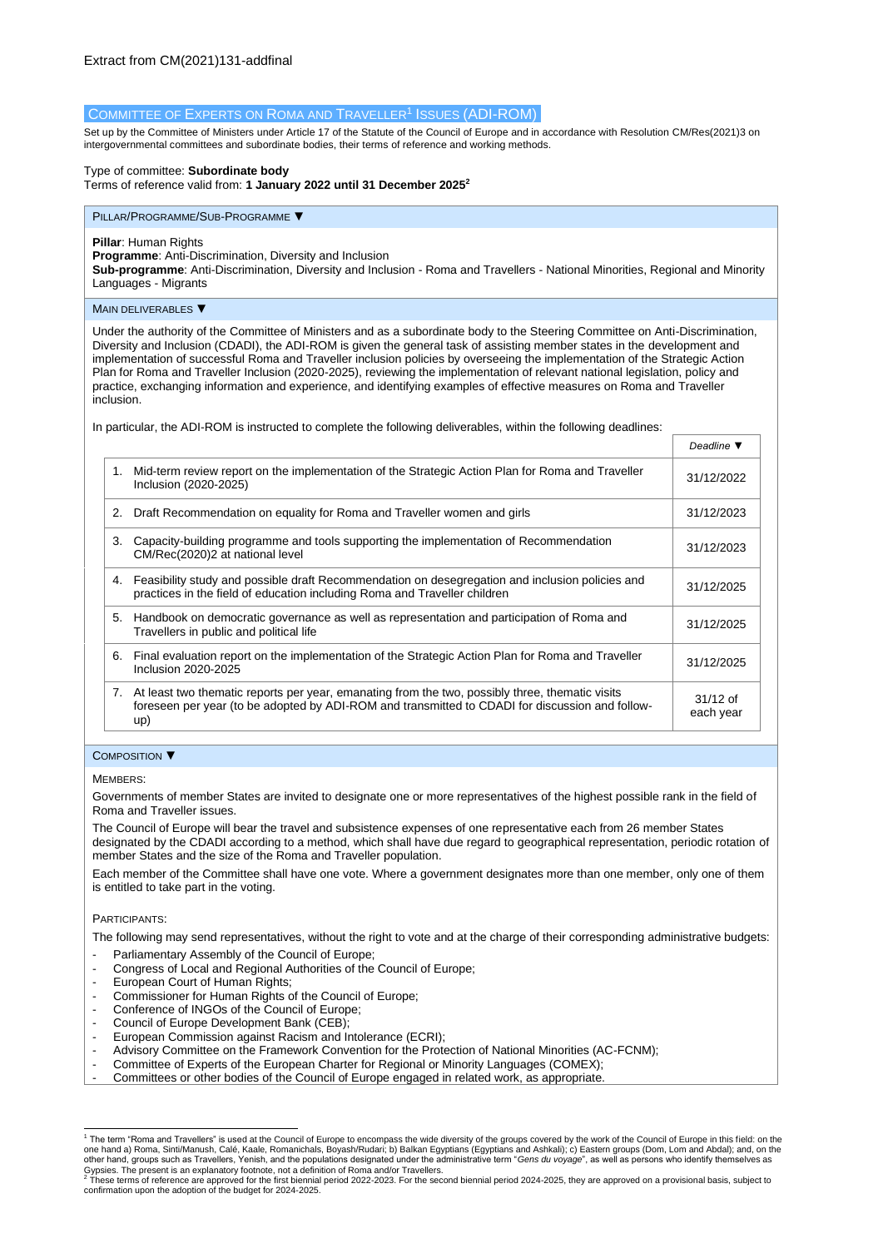# COMMITTEE OF EXPERTS ON ROMA AND TRAVELLER<sup>1</sup> ISSUES (ADI-ROM)

Set up by the Committee of Ministers under Article 17 of the Statute of the Council of Europe and in accordance with Resolutio[n CM/Res\(2021\)3](https://search.coe.int/cm/Pages/result_details.aspx?Reference=CM/Res(2011)24) on intergovernmental committees and subordinate bodies, their terms of reference and working methods.

## Type of committee: **Subordinate body**

Terms of reference valid from: **1 January 2022 until 31 December 2025<sup>2</sup>**

#### PILLAR/PROGRAMME/SUB-PROGRAMME ▼

## **Pillar**: Human Rights

**Programme**: Anti-Discrimination, Diversity and Inclusion

**Sub-programme**: Anti-Discrimination, Diversity and Inclusion - Roma and Travellers - National Minorities, Regional and Minority Languages - Migrants

## MAIN DELIVERABLES ▼

Under the authority of the Committee of Ministers and as a subordinate body to the Steering Committee on Anti-Discrimination, Diversity and Inclusion (CDADI), the ADI-ROM is given the general task of assisting member states in the development and implementation of successful Roma and Traveller inclusion policies by overseeing the implementation of the Strategic Action Plan for Roma and Traveller Inclusion (2020-2025), reviewing the implementation of relevant national legislation, policy and practice, exchanging information and experience, and identifying examples of effective measures on Roma and Traveller inclusion.

*Deadline ▼*

In particular, the ADI-ROM is instructed to complete the following deliverables, within the following deadlines:

|    |                                                                                                                                                                                                              | Deaume v                |
|----|--------------------------------------------------------------------------------------------------------------------------------------------------------------------------------------------------------------|-------------------------|
| 1. | Mid-term review report on the implementation of the Strategic Action Plan for Roma and Traveller<br>Inclusion (2020-2025)                                                                                    | 31/12/2022              |
| 2. | Draft Recommendation on equality for Roma and Traveller women and girls                                                                                                                                      | 31/12/2023              |
| 3. | Capacity-building programme and tools supporting the implementation of Recommendation<br>CM/Rec(2020)2 at national level                                                                                     | 31/12/2023              |
| 4. | Feasibility study and possible draft Recommendation on desegregation and inclusion policies and<br>practices in the field of education including Roma and Traveller children                                 | 31/12/2025              |
| 5. | Handbook on democratic governance as well as representation and participation of Roma and<br>Travellers in public and political life                                                                         | 31/12/2025              |
| 6. | Final evaluation report on the implementation of the Strategic Action Plan for Roma and Traveller<br>Inclusion 2020-2025                                                                                     | 31/12/2025              |
|    | 7. At least two thematic reports per year, emanating from the two, possibly three, thematic visits<br>foreseen per year (to be adopted by ADI-ROM and transmitted to CDADI for discussion and follow-<br>up) | $31/12$ of<br>each year |

#### COMPOSITION ▼

#### MEMBERS:

Governments of member States are invited to designate one or more representatives of the highest possible rank in the field of Roma and Traveller issues.

The Council of Europe will bear the travel and subsistence expenses of one representative each from 26 member States designated by the CDADI according to a method, which shall have due regard to geographical representation, periodic rotation of member States and the size of the Roma and Traveller population.

Each member of the Committee shall have one vote. Where a government designates more than one member, only one of them is entitled to take part in the voting.

#### PARTICIPANTS:

The following may send representatives, without the right to vote and at the charge of their corresponding administrative budgets:

- Parliamentary Assembly of the Council of Europe;
- Congress of Local and Regional Authorities of the Council of Europe;
- European Court of Human Rights;
- Commissioner for Human Rights of the Council of Europe;
- Conference of INGOs of the Council of Europe;
- Council of Europe Development Bank (CEB);
- European Commission against Racism and Intolerance (ECRI):
- Advisory Committee on the Framework Convention for the Protection of National Minorities (AC-FCNM);
- Committee of Experts of the European Charter for Regional or Minority Languages (COMEX);
- Committees or other bodies of the Council of Europe engaged in related work, as appropriate.

<sup>1</sup> The term "Roma and Travellers" is used at the Council of Europe to encompass the wide diversity of the groups covered by the work of the Council of Europe in this field: on the one hand a) Roma, Sinti/Manush, Calé, Kaale, Romanichals, Boyash/Rudari; b) Balkan Egyptians (Egyptians and Ashkali); c) Eastern groups (Dom, Lom and Abdal); and, on the other hand, groups such as Travellers, Yenish, and the populations designated under the administrative term "*Gens du voyage*", as well as persons who identify themselves as

Gypsies. The present is an explanatory footnote, not a definition of Roma and/or Travellers.<br><sup>2</sup> These terms of reference are approved for the first biennial period 2022-2023. For the second biennial period 2024-2025, they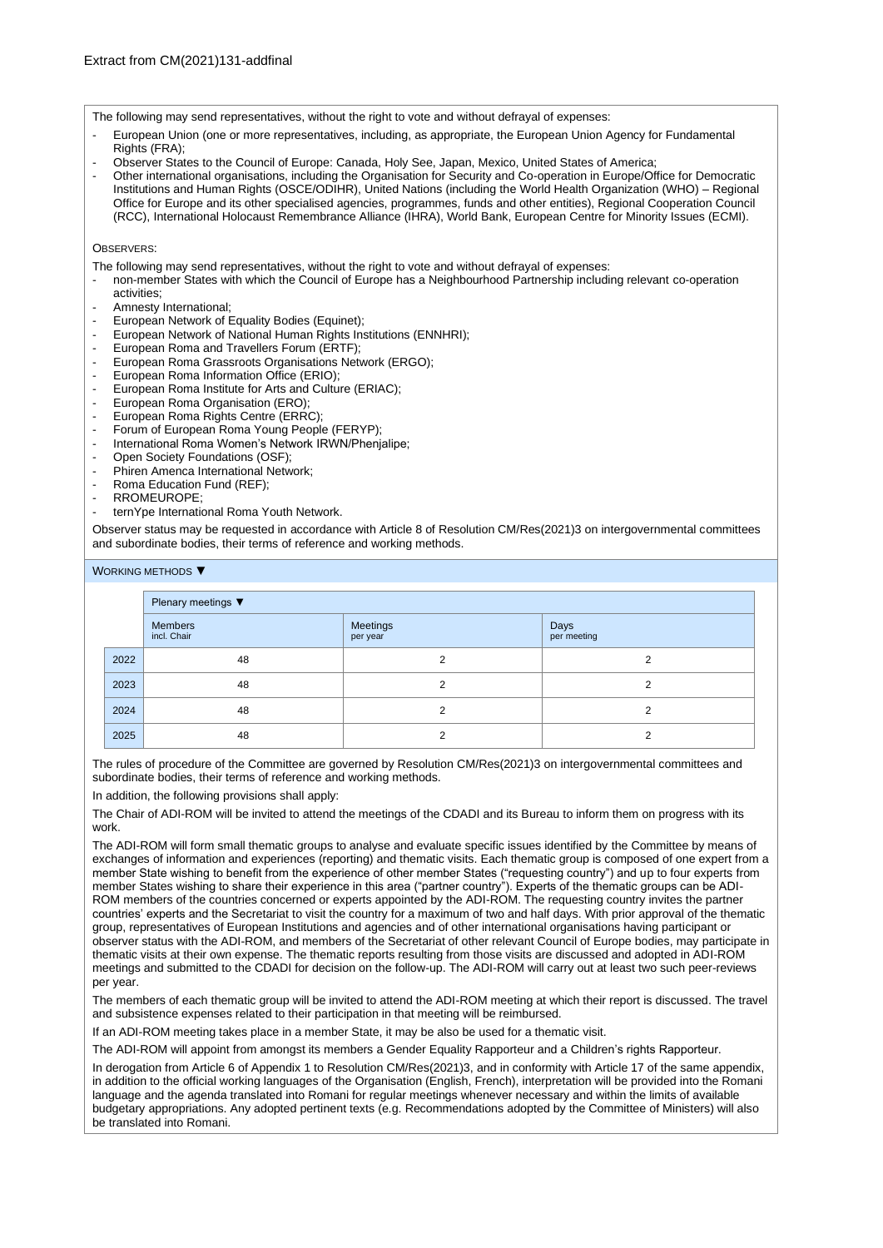The following may send representatives, without the right to vote and without defrayal of expenses:

- European Union (one or more representatives, including, as appropriate, the European Union Agency for Fundamental Rights (FRA);
- Observer States to the Council of Europe: Canada, Holy See, Japan, Mexico, United States of America;
- Other international organisations, including the Organisation for Security and Co-operation in Europe/Office for Democratic Institutions and Human Rights (OSCE/ODIHR), United Nations (including the World Health Organization (WHO) – Regional Office for Europe and its other specialised agencies, programmes, funds and other entities), Regional Cooperation Council (RCC), International Holocaust Remembrance Alliance (IHRA), World Bank, European Centre for Minority Issues (ECMI).

## OBSERVERS<sup>.</sup>

The following may send representatives, without the right to vote and without defrayal of expenses:

- non-member States with which the Council of Europe has a Neighbourhood Partnership including relevant co-operation
- activities; - Amnesty International;
- European Network of Equality Bodies (Equinet);
- European Network of National Human Rights Institutions (ENNHRI);
- European Roma and Travellers Forum (ERTF);
- European Roma Grassroots Organisations Network (ERGO);
- European Roma Information Office (ERIO);
- European Roma Institute for Arts and Culture (ERIAC);
- 
- European Roma Organisation (ERO);<br>- European Roma Rights Centre (ERR) European Roma Rights Centre (ERRC);
- Forum of European Roma Young People (FERYP);
- International Roma Women's Network IRWN/Phenjalipe;<br>- Open Society Foundations (OSF);
- Open Society Foundations (OSF);
- Phiren Amenca International Network:
- Roma Education Fund (REF);
- RROMEUROPE;
- ternYpe International Roma Youth Network.

Observer status may be requested in accordance with Article 8 of Resolution CM/Res(2021)3 on intergovernmental committees and subordinate bodies, their terms of reference and working methods.

## WORKING METHODS ▼

|      | Plenary meetings ▼            |                      |                     |  |  |  |  |  |
|------|-------------------------------|----------------------|---------------------|--|--|--|--|--|
|      | <b>Members</b><br>incl. Chair | Meetings<br>per year | Days<br>per meeting |  |  |  |  |  |
| 2022 | 48                            | 2                    | 2                   |  |  |  |  |  |
| 2023 | 48                            | າ                    | 2                   |  |  |  |  |  |
| 2024 | 48                            | 2                    | 2                   |  |  |  |  |  |
| 2025 | 48                            | っ                    | ◠                   |  |  |  |  |  |

The rules of procedure of the Committee are governed by Resolution [CM/Res\(2021\)3](https://search.coe.int/cm/Pages/result_details.aspx?Reference=CM/Res(2011)24) on intergovernmental committees and subordinate bodies, their terms of reference and working methods.

In addition, the following provisions shall apply:

The Chair of ADI-ROM will be invited to attend the meetings of the CDADI and its Bureau to inform them on progress with its work.

The ADI-ROM will form small thematic groups to analyse and evaluate specific issues identified by the Committee by means of exchanges of information and experiences (reporting) and thematic visits. Each thematic group is composed of one expert from a member State wishing to benefit from the experience of other member States ("requesting country") and up to four experts from member States wishing to share their experience in this area ("partner country"). Experts of the thematic groups can be ADI-ROM members of the countries concerned or experts appointed by the ADI-ROM. The requesting country invites the partner countries' experts and the Secretariat to visit the country for a maximum of two and half days. With prior approval of the thematic group, representatives of European Institutions and agencies and of other international organisations having participant or observer status with the ADI-ROM, and members of the Secretariat of other relevant Council of Europe bodies, may participate in thematic visits at their own expense. The thematic reports resulting from those visits are discussed and adopted in ADI-ROM meetings and submitted to the CDADI for decision on the follow-up. The ADI-ROM will carry out at least two such peer-reviews per year.

The members of each thematic group will be invited to attend the ADI-ROM meeting at which their report is discussed. The travel and subsistence expenses related to their participation in that meeting will be reimbursed.

If an ADI-ROM meeting takes place in a member State, it may be also be used for a thematic visit.

The ADI-ROM will appoint from amongst its members a Gender Equality Rapporteur and a Children's rights Rapporteur.

In derogation from Article 6 of Appendix 1 to Resolutio[n CM/Res\(2021\)3,](https://search.coe.int/cm/Pages/result_details.aspx?Reference=CM/Res(2011)24) and in conformity with Article 17 of the same appendix, in addition to the official working languages of the Organisation (English, French), interpretation will be provided into the Romani language and the agenda translated into Romani for regular meetings whenever necessary and within the limits of available budgetary appropriations. Any adopted pertinent texts (e.g. Recommendations adopted by the Committee of Ministers) will also be translated into Romani.